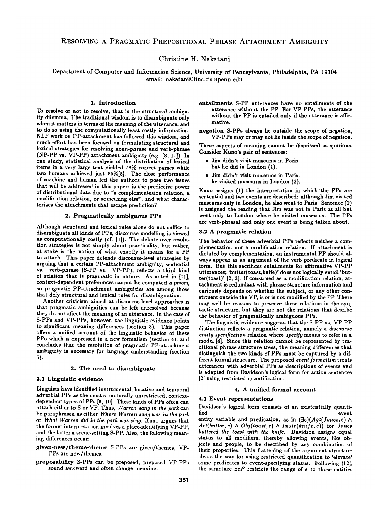Christine **H**. Nakatani

Department of Computer and Information Science, University of Pennsylvania, Philadelphia, PA 19104 email: nakatani@linc.cis.upenn.edu

## 1. Introduction

To resolve or not to resolve, that is the structural ambiguity dilemma. The traditional wisdom is to disambiguate only when it matters in terms of the meaning of the utterance, and to do so using the computationally least costly information. NLP work on PP-attachment has followed this wisdom, and much effort has been focused on formulating structural and lexical strategies for resolving noun-phrase and verb-phrase (NP-PP vs. VP-PP) attachment ambiguity (e.g. [8, 11]). In one study, statistical analysis of the distribution of lexical items in a very large text yielded 78% correct parses while two humans achieved just 85%[5]. The close performance of machine and human led the authors to pose two issues that will be addressed in this paper: is the predictive power of distributional data due to "a complementation relation, a modification relation, or something else", and what characterizes the attachments that escape prediction?

## 2. Pragmatically ambiguous **PPs**

Although structural and lexical rules alone do not suffice to disambiguate all kinds of PPs, discourse modelling is viewed as computationally costly (cf. [1]). The debate over resolution strategies is not simply about practicality, but rather, at stake is the notion of what exactly it means for a PP to attach. This paper defends discourse-level strategies by arguing that a certain PP-attachment ambiguity, sentential vs. verb-phrase (S-PP vs. VP-PP), reflects a third kind of relation that is pragmatic in nature. As noted in [11], context-dependent preferences cannot be computed *a priori,*  so pragmatic PP-attachment ambiguities are among those that defy structural and lexical rules for disambiguation.

Another criticism aimed at discourse-level approaches is that pragmatic ambiguities can be left unresolved because they do not affect the meaning of an utterance. In the case of S-PPs and VP-PPs, however, the linguistic evidence points to significant meaning differences (section 3). This paper offers a unified account of the linguistic behavior of these PPs which is expressed in a new formalism (section 4), and concludes that the resolution of pragmatic PP-attachment ambiguity is necessary for language understanding (section 5).

### 3. The need to disambiguate

### 3.1 Linguistic evidence

Linguists have identified instrumental, locative and temporal adverbial PPs as the most structurally unrestricted, contextdependent types of PPs [6, 10]. These kinds of PPs often can attach either to S or VP. Thus, *Warren sang in the park can*  be paraphrased as either Where *Warren sang was in the park*  or *What Warren did in the park was sing.* Kuno argues that the former interpretation involves a place-identifying VP-PP, and the latter a scene-setting S-PP. Also, the following meaning differences occur:

- given-new/theme-rheme S-PPs are given/themes, VP-PPs are new/themes.
- preposability S-PPs can be preposed, preposed VP-PPs sound awkward and often change meaning.

entailments S-PP utterances have no entailments of the utterance without the PP. For VP-PPs, the utterance without the PP is entailed only if the utterance is affirmative.

negation S-PPs always lie outside the scope of negation, VP-PPs may or may not lie inside the scope of negation.

These aspects of meaning cannot be dismissed as spurious. Consider Kuno's pair of sentences:

- Jim didn't visit museums in Paris, but he did in London (1).
- Jim didn't visit museums in Paris: he visited museums in London (2).

Kuno assigns (1) the interpretation in which'the PPs are sentential and two events are described: although Jim visited museums only in London, he also went to Paris. Sentence (2) is assigned the reading that Jim was not in Paris at all but went only to London where he visited museums. The PPs are verb-phrasal and only one event is being talked about.

### 3.2 A pragmatic relation

The behavior of these adverbial PPs reflects neither a complementation nor a modification relation. If attachment is dictated by complementation, an instrumental PP should always appear as an argument of the verb predicate in logical form. But this sacrifices entailments for affirmative VP-PP utterances; 'butter(toast,knife)' does not logically entail 'butter(toast)' [2, 3]. If construed as a modification relation, attachment is redundant with phrase structure information and curiously depends on whether the subject, or any other constituent outside the VP, is or is not modified by the PP. There may well be reasons to preserve these relations in the syntactic structure, but they are not the relations that desribe the behavior of pragmatically ambiguous PPs.

The linguistic evidence suggests that the S-PP vs. VP-PP distinction reflects a pragmatic relation, namely a *discourse entity specification* relation where *specify* means to refer in a model [4]. Since this relation cannot be represented by traditional phrase structure trees, the meaning differences that distinguish the two kinds of PPs must be captured by a different formal structure. The proposed *event formalism* treats utterances with adverbial PPs as descriptions of events and is adapted from Davidson's logical form for action sentences [2] using restricted quantification.

## 4. A unified formal account

## 4.1 Event representations

Davidson's logical form consists of an existentially quantified event

entity variable and predication, as in  $(\exists e)(Agt(Jones, e) \land$  $Act(butter, e) \wedge Obj(toast, e) \wedge Instr(knife, e))$  for *Jones buttered the toast with the knife.* Davidson assigns equal status to all modifiers, thereby allowing events, like objects and people, to be described by any combination of their properties. This flattening of the argument structure clears the way for using restricted quantification to 'elevate' some predicates to event-specifying status. Following [12], the structure  $\exists eP$  restricts the range of  $e$  to those entities